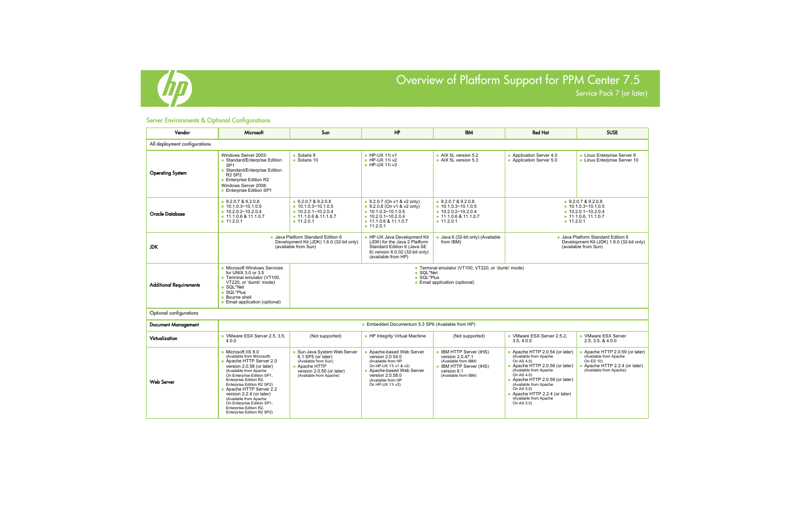

Service Pack 7 (or later)

## Server Environments & Optional Configurations

| Vendor                         | Microsoft                                                                                                                                                                                                                                                                                                                                                                                    | Sun                                                                                                                                               | <b>HP</b>                                                                                                                                                                           | <b>IBM</b>                                                                                                                                    | <b>Red Hat</b>                                                                                                                                                                                                                                                                                  | <b>SUSE</b>                                                                                                                     |  |  |
|--------------------------------|----------------------------------------------------------------------------------------------------------------------------------------------------------------------------------------------------------------------------------------------------------------------------------------------------------------------------------------------------------------------------------------------|---------------------------------------------------------------------------------------------------------------------------------------------------|-------------------------------------------------------------------------------------------------------------------------------------------------------------------------------------|-----------------------------------------------------------------------------------------------------------------------------------------------|-------------------------------------------------------------------------------------------------------------------------------------------------------------------------------------------------------------------------------------------------------------------------------------------------|---------------------------------------------------------------------------------------------------------------------------------|--|--|
| All deployment configurations  |                                                                                                                                                                                                                                                                                                                                                                                              |                                                                                                                                                   |                                                                                                                                                                                     |                                                                                                                                               |                                                                                                                                                                                                                                                                                                 |                                                                                                                                 |  |  |
| <b>Operating System</b>        | Windows Server 2003:<br>Standard/Enterprise Edition<br>SP <sub>1</sub><br>Standard/Enterprise Edition<br><b>R2 SP2</b><br><b>Enterprise Edition R2</b><br>Windows Server 2008:<br><b>Enterprise Edition SP1</b>                                                                                                                                                                              | Solaris 9<br>$\blacksquare$ Solaris 10                                                                                                            | HP-UX 11i v1<br>$H$ P-UX 11i v2<br>$H$ P-UX 11i v3                                                                                                                                  | AIX 5L version 5.2<br>$\blacksquare$ AIX 5L version 5.3                                                                                       | Application Server 4.0<br>Application Server 5.0                                                                                                                                                                                                                                                | Linux Enterprise Server 9<br>Linux Enterprise Server 10                                                                         |  |  |
| <b>Oracle Database</b>         | 9.2.0.7 & 9.2.0.8<br>$10.1.0.3 \times 10.1.0.5$<br>$10.2.0.2 \times 10.2.0.4$<br>$\blacksquare$ 11.1.0.6 & 11.1.0.7<br>11.2.0.1                                                                                                                                                                                                                                                              | 9.2.0.7 & 9.2.0.8<br>$10.1.0.3 \times 10.1.0.5$<br>$10.2.0.1 \times 10.2.0.4$<br>$\blacksquare$ 11.1.0.6 & 11.1.0.7<br>11.2.0.1                   | $9.2.0.7$ (On v1 & v2 only)<br>$9.2.0.8$ (On v1 & v2 only)<br>$10.1.0.3 \times 10.1.0.5$<br>$10.2.0.1 \times 10.2.0.4$<br>$\blacksquare$ 11.1.0.6 & 11.1.0.7<br>11.2.0.1            | 9.2.0.7 & 9.2.0.8<br>$10.1.0.3 \times 10.1.0.5$<br>$10.2.0.2 \times 10.2.0.4$<br>$\blacksquare$ 11.1.0.6 & 11.1.0.7<br>11.2.0.1               | 9.2.0.7 & 9.2.0.8<br>$10.1.0.3 \times 10.1.0.5$<br>$10.2.0.1 \times 10.2.0.4$<br>$\blacksquare$ 11.1.0.6, 11.1.0.7<br>11.2.0.1                                                                                                                                                                  |                                                                                                                                 |  |  |
| <b>JDK</b>                     |                                                                                                                                                                                                                                                                                                                                                                                              | Java Platform Standard Edition 6<br>Development Kit (JDK) 1.6.0 (32-bit only)<br>(available from Sun)                                             | ■ HP-UX Java Development Kit<br>(JDK) for the Java 2 Platform<br>Standard Edition 6 (Java SE<br>6) version 6.0.02 (32-bit only)<br>(available from HP)                              | Java 6 (32-bit only) (Available<br>from IBM)                                                                                                  | Java Platform Standard Edition 6<br>Development Kit (JDK) 1.6.0 (32-bit only)<br>(available from Sun)                                                                                                                                                                                           |                                                                                                                                 |  |  |
| <b>Additional Requirements</b> | • Microsoft Windows Services<br>for UNIX 3.0 or 3.5<br>■ Terminal emulator (VT100,<br>VT220, or 'dumb' mode)<br>■ SQL*Net<br>SQL*Plus<br><b>Bourne shell</b><br>Email application (optional)                                                                                                                                                                                                 | Terminal emulator (VT100, VT220, or 'dumb' mode)<br>■ SQL*Net<br>SQL*Plus<br>■ Email application (optional)                                       |                                                                                                                                                                                     |                                                                                                                                               |                                                                                                                                                                                                                                                                                                 |                                                                                                                                 |  |  |
| Optional configurations        |                                                                                                                                                                                                                                                                                                                                                                                              |                                                                                                                                                   |                                                                                                                                                                                     |                                                                                                                                               |                                                                                                                                                                                                                                                                                                 |                                                                                                                                 |  |  |
| <b>Document Management</b>     |                                                                                                                                                                                                                                                                                                                                                                                              |                                                                                                                                                   | ■ Embedded Documentum 5.3 SP6 (Available from HP)                                                                                                                                   |                                                                                                                                               |                                                                                                                                                                                                                                                                                                 |                                                                                                                                 |  |  |
| Virtualization                 | VMware ESX Server 2.5, 3.5,<br>4.0.0                                                                                                                                                                                                                                                                                                                                                         | (Not supported)                                                                                                                                   | • HP Integrity Virtual Machine                                                                                                                                                      | (Not supported)                                                                                                                               | VMware ESX Server 2.5.2,<br>3.5, 4.0.0                                                                                                                                                                                                                                                          | • VMware ESX Server<br>2.5, 3.5, 8, 4.0.0                                                                                       |  |  |
| <b>Web Server</b>              | Microsoft IIS 6.0<br>(Available from Microsoft)<br>Apache HTTP Server 2.0<br>version 2.0.58 (or later)<br>(Available from Apache<br>On Enterprise Edition SP1,<br>Enterprise Edition R2,<br>Enterprise Edition R2 SP2)<br>Apache HTTP Server 2.2<br>version 2.2.4 (or later)<br>(Available from Apache<br>On Enterprise Edition SP1,<br>Enterprise Edition R2,<br>Enterprise Edition R2 SP2) | ■ Sun Java System Web Server<br>6.1 SP5 (or later)<br>(Available from Sun)<br>Apache HTTP<br>version 2.0.50 (or later)<br>(Available from Apache) | Apache-based Web Server<br>version 2.0.54.0<br>(Available from HP<br>On HP-UX 11i v1 & v2)<br>Apache-based Web Server<br>version 2.0.58.0<br>(Available from HP<br>On HP-UX 11i v3) | <b>BM HTTP Server (IHS)</b><br>version 2.0.47.1<br>(Available from IBM)<br><b>BM HTTP Server (IHS)</b><br>version 6.1<br>(Available from IBM) | Apache HTTP 2.0.54 (or later)<br>(Available from Apache<br>On AS 4.0)<br>Apache HTTP 2.0.58 (or later)<br>(Available from Apache<br>On AS 4.0)<br>Apache HTTP 2.0.59 (or later)<br>(Available from Apache<br>On AS 5.0)<br>Apache HTTP 2.2.4 (or later)<br>(Available from Apache<br>On AS 5.0) | Apache HTTP 2.0.59 (or later)<br>(Available from Apache<br>On ES 10)<br>Apache HTTP 2.2.4 (or later)<br>(Available from Apache) |  |  |